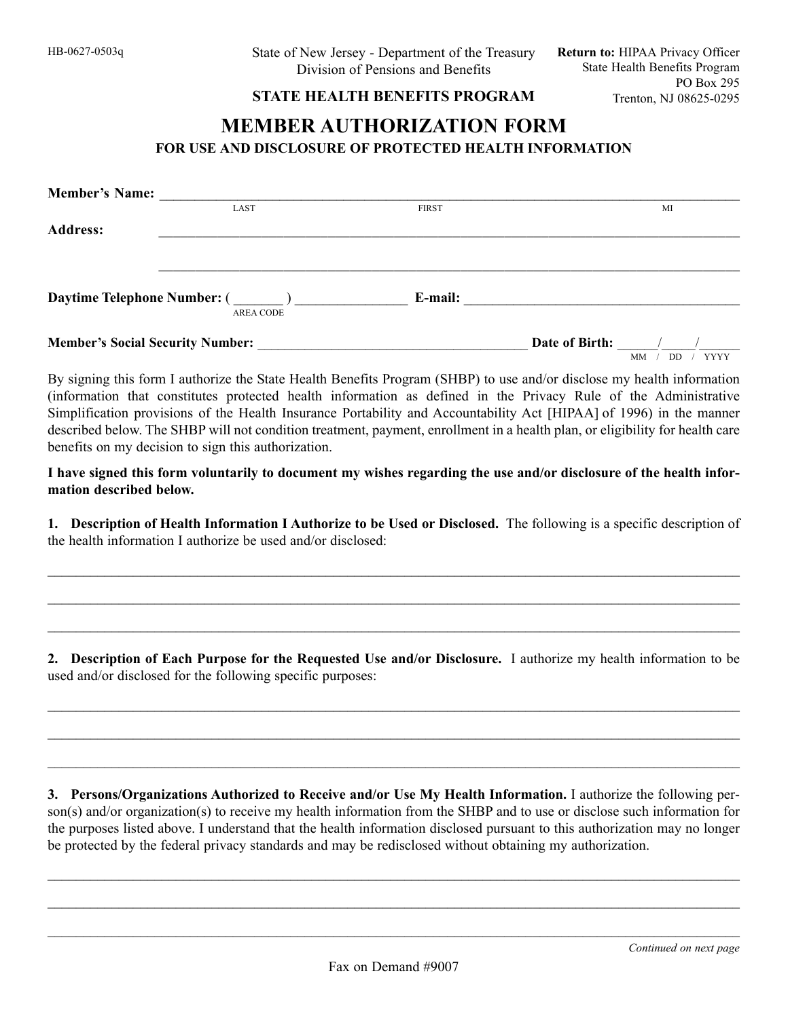## **STATE HEALTH BENEFITS PROGRAM**

## **MEMBER AUTHORIZATION FORM FOR USE AND DISCLOSURE OF PROTECTED HEALTH INFORMATION**

| <b>Member's Name:</b>                                  |              |                                            |
|--------------------------------------------------------|--------------|--------------------------------------------|
| <b>LAST</b>                                            | <b>FIRST</b> | MI                                         |
| <b>Address:</b>                                        |              |                                            |
| <b>Daytime Telephone Number: (</b><br><b>AREA CODE</b> | E-mail:      |                                            |
| <b>Member's Social Security Number:</b>                |              | Date of Birth:<br><b>YYYY</b><br>MM<br>DD. |

By signing this form I authorize the State Health Benefits Program (SHBP) to use and/or disclose my health information (information that constitutes protected health information as defined in the Privacy Rule of the Administrative Simplification provisions of the Health Insurance Portability and Accountability Act [HIPAA] of 1996) in the manner described below. The SHBP will not condition treatment, payment, enrollment in a health plan, or eligibility for health care benefits on my decision to sign this authorization.

**I have signed this form voluntarily to document my wishes regarding the use and/or disclosure of the health information described below.**

**1. Description of Health Information I Authorize to be Used or Disclosed.** The following is a specific description of the health information I authorize be used and/or disclosed:

 $\mathcal{L}_\mathcal{L} = \mathcal{L}_\mathcal{L} = \mathcal{L}_\mathcal{L} = \mathcal{L}_\mathcal{L} = \mathcal{L}_\mathcal{L} = \mathcal{L}_\mathcal{L} = \mathcal{L}_\mathcal{L} = \mathcal{L}_\mathcal{L} = \mathcal{L}_\mathcal{L} = \mathcal{L}_\mathcal{L} = \mathcal{L}_\mathcal{L} = \mathcal{L}_\mathcal{L} = \mathcal{L}_\mathcal{L} = \mathcal{L}_\mathcal{L} = \mathcal{L}_\mathcal{L} = \mathcal{L}_\mathcal{L} = \mathcal{L}_\mathcal{L}$ 

 $\_$  , and the set of the set of the set of the set of the set of the set of the set of the set of the set of the set of the set of the set of the set of the set of the set of the set of the set of the set of the set of th

 $\mathcal{L}_\mathcal{L} = \mathcal{L}_\mathcal{L} = \mathcal{L}_\mathcal{L} = \mathcal{L}_\mathcal{L} = \mathcal{L}_\mathcal{L} = \mathcal{L}_\mathcal{L} = \mathcal{L}_\mathcal{L} = \mathcal{L}_\mathcal{L} = \mathcal{L}_\mathcal{L} = \mathcal{L}_\mathcal{L} = \mathcal{L}_\mathcal{L} = \mathcal{L}_\mathcal{L} = \mathcal{L}_\mathcal{L} = \mathcal{L}_\mathcal{L} = \mathcal{L}_\mathcal{L} = \mathcal{L}_\mathcal{L} = \mathcal{L}_\mathcal{L}$ 

**2. Description of Each Purpose for the Requested Use and/or Disclosure.** I authorize my health information to be used and/or disclosed for the following specific purposes:

 $\_$  , and the set of the set of the set of the set of the set of the set of the set of the set of the set of the set of the set of the set of the set of the set of the set of the set of the set of the set of the set of th

 $\mathcal{L}_\mathcal{L} = \mathcal{L}_\mathcal{L} = \mathcal{L}_\mathcal{L} = \mathcal{L}_\mathcal{L} = \mathcal{L}_\mathcal{L} = \mathcal{L}_\mathcal{L} = \mathcal{L}_\mathcal{L} = \mathcal{L}_\mathcal{L} = \mathcal{L}_\mathcal{L} = \mathcal{L}_\mathcal{L} = \mathcal{L}_\mathcal{L} = \mathcal{L}_\mathcal{L} = \mathcal{L}_\mathcal{L} = \mathcal{L}_\mathcal{L} = \mathcal{L}_\mathcal{L} = \mathcal{L}_\mathcal{L} = \mathcal{L}_\mathcal{L}$ 

 $\mathcal{L}_\mathcal{L} = \mathcal{L}_\mathcal{L} = \mathcal{L}_\mathcal{L} = \mathcal{L}_\mathcal{L} = \mathcal{L}_\mathcal{L} = \mathcal{L}_\mathcal{L} = \mathcal{L}_\mathcal{L} = \mathcal{L}_\mathcal{L} = \mathcal{L}_\mathcal{L} = \mathcal{L}_\mathcal{L} = \mathcal{L}_\mathcal{L} = \mathcal{L}_\mathcal{L} = \mathcal{L}_\mathcal{L} = \mathcal{L}_\mathcal{L} = \mathcal{L}_\mathcal{L} = \mathcal{L}_\mathcal{L} = \mathcal{L}_\mathcal{L}$ 

**3. Persons/Organizations Authorized to Receive and/or Use My Health Information.** I authorize the following person(s) and/or organization(s) to receive my health information from the SHBP and to use or disclose such information for the purposes listed above. I understand that the health information disclosed pursuant to this authorization may no longer be protected by the federal privacy standards and may be redisclosed without obtaining my authorization.

 $\_$  , and the set of the set of the set of the set of the set of the set of the set of the set of the set of the set of the set of the set of the set of the set of the set of the set of the set of the set of the set of th

 $\mathcal{L}_\mathcal{L} = \mathcal{L}_\mathcal{L} = \mathcal{L}_\mathcal{L} = \mathcal{L}_\mathcal{L} = \mathcal{L}_\mathcal{L} = \mathcal{L}_\mathcal{L} = \mathcal{L}_\mathcal{L} = \mathcal{L}_\mathcal{L} = \mathcal{L}_\mathcal{L} = \mathcal{L}_\mathcal{L} = \mathcal{L}_\mathcal{L} = \mathcal{L}_\mathcal{L} = \mathcal{L}_\mathcal{L} = \mathcal{L}_\mathcal{L} = \mathcal{L}_\mathcal{L} = \mathcal{L}_\mathcal{L} = \mathcal{L}_\mathcal{L}$